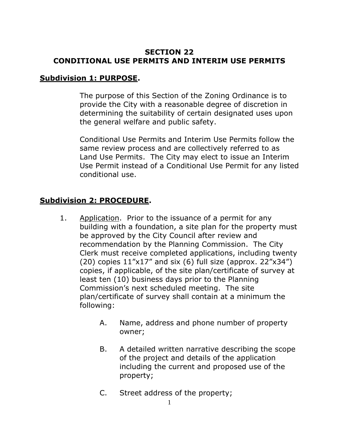#### **SECTION 22 CONDITIONAL USE PERMITS AND INTERIM USE PERMITS**

#### **Subdivision 1: PURPOSE.**

The purpose of this Section of the Zoning Ordinance is to provide the City with a reasonable degree of discretion in determining the suitability of certain designated uses upon the general welfare and public safety.

Conditional Use Permits and Interim Use Permits follow the same review process and are collectively referred to as Land Use Permits. The City may elect to issue an Interim Use Permit instead of a Conditional Use Permit for any listed conditional use.

## **Subdivision 2: PROCEDURE.**

- 1. Application. Prior to the issuance of a permit for any building with a foundation, a site plan for the property must be approved by the City Council after review and recommendation by the Planning Commission. The City Clerk must receive completed applications, including twenty  $(20)$  copies  $11''x17''$  and six  $(6)$  full size (approx. 22"x34") copies, if applicable, of the site plan/certificate of survey at least ten (10) business days prior to the Planning Commission's next scheduled meeting. The site plan/certificate of survey shall contain at a minimum the following:
	- A. Name, address and phone number of property owner;
	- B. A detailed written narrative describing the scope of the project and details of the application including the current and proposed use of the property;
	- C. Street address of the property;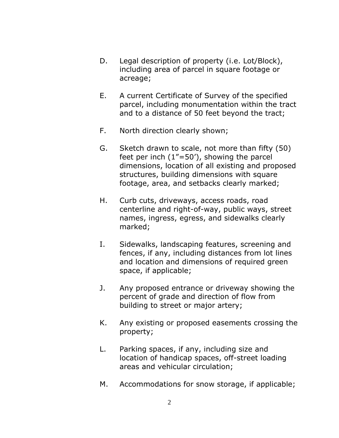- D. Legal description of property (i.e. Lot/Block), including area of parcel in square footage or acreage;
- E. A current Certificate of Survey of the specified parcel, including monumentation within the tract and to a distance of 50 feet beyond the tract;
- F. North direction clearly shown;
- G. Sketch drawn to scale, not more than fifty (50) feet per inch  $(1" = 50')$ , showing the parcel dimensions, location of all existing and proposed structures, building dimensions with square footage, area, and setbacks clearly marked;
- H. Curb cuts, driveways, access roads, road centerline and right-of-way, public ways, street names, ingress, egress, and sidewalks clearly marked;
- I. Sidewalks, landscaping features, screening and fences, if any, including distances from lot lines and location and dimensions of required green space, if applicable;
- J. Any proposed entrance or driveway showing the percent of grade and direction of flow from building to street or major artery;
- K. Any existing or proposed easements crossing the property;
- L. Parking spaces, if any, including size and location of handicap spaces, off-street loading areas and vehicular circulation;
- M. Accommodations for snow storage, if applicable;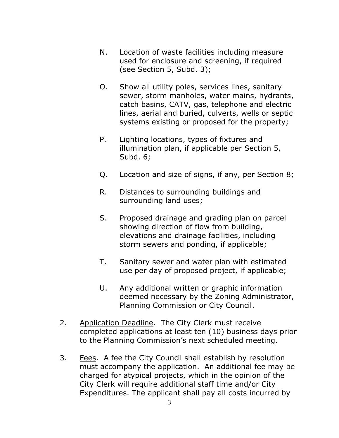- N. Location of waste facilities including measure used for enclosure and screening, if required (see Section 5, Subd. 3);
- O. Show all utility poles, services lines, sanitary sewer, storm manholes, water mains, hydrants, catch basins, CATV, gas, telephone and electric lines, aerial and buried, culverts, wells or septic systems existing or proposed for the property;
- P. Lighting locations, types of fixtures and illumination plan, if applicable per Section 5, Subd. 6;
- Q. Location and size of signs, if any, per Section 8;
- R. Distances to surrounding buildings and surrounding land uses;
- S. Proposed drainage and grading plan on parcel showing direction of flow from building, elevations and drainage facilities, including storm sewers and ponding, if applicable;
- T. Sanitary sewer and water plan with estimated use per day of proposed project, if applicable;
- U. Any additional written or graphic information deemed necessary by the Zoning Administrator, Planning Commission or City Council.
- 2. Application Deadline. The City Clerk must receive completed applications at least ten (10) business days prior to the Planning Commission's next scheduled meeting.
- 3. Fees. A fee the City Council shall establish by resolution must accompany the application. An additional fee may be charged for atypical projects, which in the opinion of the City Clerk will require additional staff time and/or City Expenditures. The applicant shall pay all costs incurred by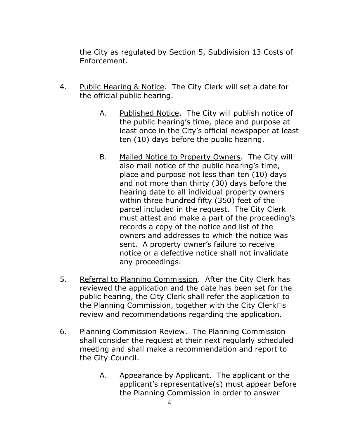the City as regulated by Section 5, Subdivision 13 Costs of Enforcement.

- 4. Public Hearing & Notice. The City Clerk will set a date for the official public hearing.
	- A. Published Notice. The City will publish notice of the public hearing's time, place and purpose at least once in the City's official newspaper at least ten (10) days before the public hearing.
	- B. Mailed Notice to Property Owners. The City will also mail notice of the public hearing's time, place and purpose not less than ten (10) days and not more than thirty (30) days before the hearing date to all individual property owners within three hundred fifty (350) feet of the parcel included in the request. The City Clerk must attest and make a part of the proceeding's records a copy of the notice and list of the owners and addresses to which the notice was sent. A property owner's failure to receive notice or a defective notice shall not invalidate any proceedings.
- 5. Referral to Planning Commission. After the City Clerk has reviewed the application and the date has been set for the public hearing, the City Clerk shall refer the application to the Planning Commission, together with the City Clerk $\square$ s review and recommendations regarding the application.
- 6. Planning Commission Review. The Planning Commission shall consider the request at their next regularly scheduled meeting and shall make a recommendation and report to the City Council.
	- A. Appearance by Applicant. The applicant or the applicant's representative(s) must appear before the Planning Commission in order to answer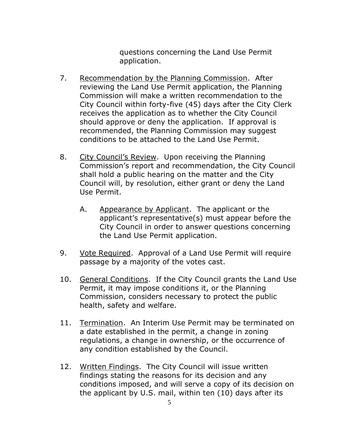questions concerning the Land Use Permit application.

- 7. Recommendation by the Planning Commission. After reviewing the Land Use Permit application, the Planning Commission will make a written recommendation to the City Council within forty-five (45) days after the City Clerk receives the application as to whether the City Council should approve or deny the application. If approval is recommended, the Planning Commission may suggest conditions to be attached to the Land Use Permit.
- 8. City Council's Review. Upon receiving the Planning Commission's report and recommendation, the City Council shall hold a public hearing on the matter and the City Council will, by resolution, either grant or deny the Land Use Permit.
	- A. Appearance by Applicant. The applicant or the applicant's representative(s) must appear before the City Council in order to answer questions concerning the Land Use Permit application.
- 9. Vote Required. Approval of a Land Use Permit will require passage by a majority of the votes cast.
- 10. General Conditions. If the City Council grants the Land Use Permit, it may impose conditions it, or the Planning Commission, considers necessary to protect the public health, safety and welfare.
- 11. Termination. An Interim Use Permit may be terminated on a date established in the permit, a change in zoning regulations, a change in ownership, or the occurrence of any condition established by the Council.
- 12. Written Findings. The City Council will issue written findings stating the reasons for its decision and any conditions imposed, and will serve a copy of its decision on the applicant by U.S. mail, within ten (10) days after its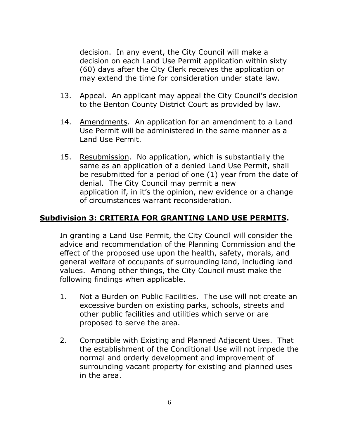decision. In any event, the City Council will make a decision on each Land Use Permit application within sixty (60) days after the City Clerk receives the application or may extend the time for consideration under state law.

- 13. Appeal. An applicant may appeal the City Council's decision to the Benton County District Court as provided by law.
- 14. Amendments. An application for an amendment to a Land Use Permit will be administered in the same manner as a Land Use Permit.
- 15. Resubmission. No application, which is substantially the same as an application of a denied Land Use Permit, shall be resubmitted for a period of one (1) year from the date of denial. The City Council may permit a new application if, in it's the opinion, new evidence or a change of circumstances warrant reconsideration.

### **Subdivision 3: CRITERIA FOR GRANTING LAND USE PERMITS.**

In granting a Land Use Permit, the City Council will consider the advice and recommendation of the Planning Commission and the effect of the proposed use upon the health, safety, morals, and general welfare of occupants of surrounding land, including land values. Among other things, the City Council must make the following findings when applicable.

- 1. Not a Burden on Public Facilities. The use will not create an excessive burden on existing parks, schools, streets and other public facilities and utilities which serve or are proposed to serve the area.
- 2. Compatible with Existing and Planned Adjacent Uses. That the establishment of the Conditional Use will not impede the normal and orderly development and improvement of surrounding vacant property for existing and planned uses in the area.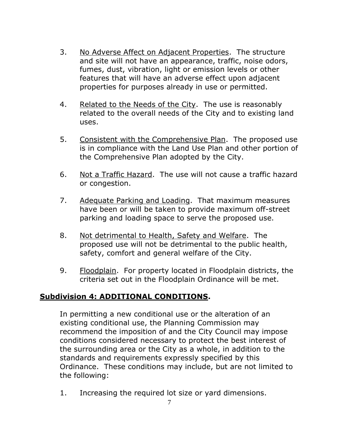- 3. No Adverse Affect on Adjacent Properties. The structure and site will not have an appearance, traffic, noise odors, fumes, dust, vibration, light or emission levels or other features that will have an adverse effect upon adjacent properties for purposes already in use or permitted.
- 4. Related to the Needs of the City. The use is reasonably related to the overall needs of the City and to existing land uses.
- 5. Consistent with the Comprehensive Plan. The proposed use is in compliance with the Land Use Plan and other portion of the Comprehensive Plan adopted by the City.
- 6. Not a Traffic Hazard. The use will not cause a traffic hazard or congestion.
- 7. Adequate Parking and Loading. That maximum measures have been or will be taken to provide maximum off-street parking and loading space to serve the proposed use.
- 8. Not detrimental to Health, Safety and Welfare. The proposed use will not be detrimental to the public health, safety, comfort and general welfare of the City.
- 9. Floodplain. For property located in Floodplain districts, the criteria set out in the Floodplain Ordinance will be met.

### **Subdivision 4: ADDITIONAL CONDITIONS.**

In permitting a new conditional use or the alteration of an existing conditional use, the Planning Commission may recommend the imposition of and the City Council may impose conditions considered necessary to protect the best interest of the surrounding area or the City as a whole, in addition to the standards and requirements expressly specified by this Ordinance. These conditions may include, but are not limited to the following:

1. Increasing the required lot size or yard dimensions.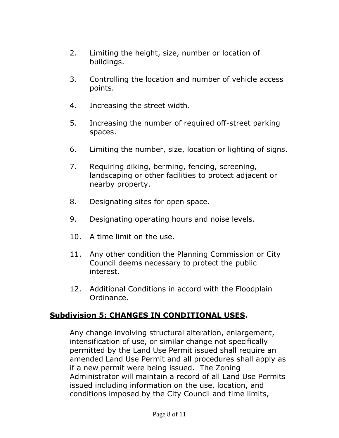- 2. Limiting the height, size, number or location of buildings.
- 3. Controlling the location and number of vehicle access points.
- 4. Increasing the street width.
- 5. Increasing the number of required off-street parking spaces.
- 6. Limiting the number, size, location or lighting of signs.
- 7. Requiring diking, berming, fencing, screening, landscaping or other facilities to protect adjacent or nearby property.
- 8. Designating sites for open space.
- 9. Designating operating hours and noise levels.
- 10. A time limit on the use.
- 11. Any other condition the Planning Commission or City Council deems necessary to protect the public interest.
- 12. Additional Conditions in accord with the Floodplain Ordinance.

### **Subdivision 5: CHANGES IN CONDITIONAL USES.**

Any change involving structural alteration, enlargement, intensification of use, or similar change not specifically permitted by the Land Use Permit issued shall require an amended Land Use Permit and all procedures shall apply as if a new permit were being issued. The Zoning Administrator will maintain a record of all Land Use Permits issued including information on the use, location, and conditions imposed by the City Council and time limits,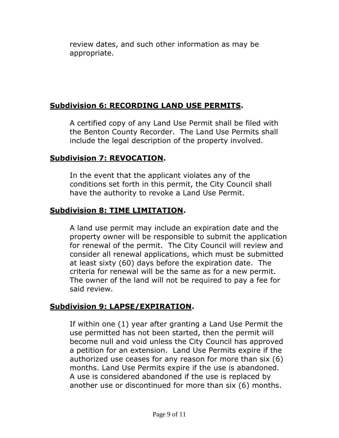review dates, and such other information as may be appropriate.

# **Subdivision 6: RECORDING LAND USE PERMITS.**

A certified copy of any Land Use Permit shall be filed with the Benton County Recorder. The Land Use Permits shall include the legal description of the property involved.

## **Subdivision 7: REVOCATION.**

In the event that the applicant violates any of the conditions set forth in this permit, the City Council shall have the authority to revoke a Land Use Permit.

## **Subdivision 8: TIME LIMITATION.**

A land use permit may include an expiration date and the property owner will be responsible to submit the application for renewal of the permit. The City Council will review and consider all renewal applications, which must be submitted at least sixty (60) days before the expiration date. The criteria for renewal will be the same as for a new permit. The owner of the land will not be required to pay a fee for said review.

## **Subdivision 9: LAPSE/EXPIRATION.**

If within one (1) year after granting a Land Use Permit the use permitted has not been started, then the permit will become null and void unless the City Council has approved a petition for an extension. Land Use Permits expire if the authorized use ceases for any reason for more than six (6) months. Land Use Permits expire if the use is abandoned. A use is considered abandoned if the use is replaced by another use or discontinued for more than six (6) months.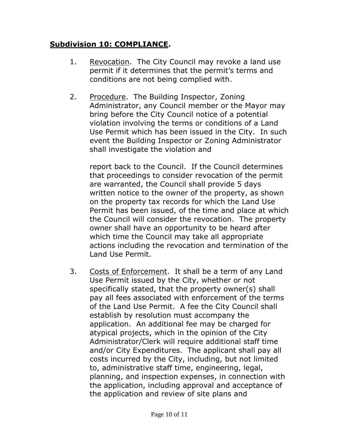# **Subdivision 10: COMPLIANCE.**

- 1. Revocation. The City Council may revoke a land use permit if it determines that the permit's terms and conditions are not being complied with.
- 2. Procedure. The Building Inspector, Zoning Administrator, any Council member or the Mayor may bring before the City Council notice of a potential violation involving the terms or conditions of a Land Use Permit which has been issued in the City. In such event the Building Inspector or Zoning Administrator shall investigate the violation and

report back to the Council. If the Council determines that proceedings to consider revocation of the permit are warranted, the Council shall provide 5 days written notice to the owner of the property, as shown on the property tax records for which the Land Use Permit has been issued, of the time and place at which the Council will consider the revocation. The property owner shall have an opportunity to be heard after which time the Council may take all appropriate actions including the revocation and termination of the Land Use Permit.

3. Costs of Enforcement. It shall be a term of any Land Use Permit issued by the City, whether or not specifically stated, that the property owner(s) shall pay all fees associated with enforcement of the terms of the Land Use Permit. A fee the City Council shall establish by resolution must accompany the application. An additional fee may be charged for atypical projects, which in the opinion of the City Administrator/Clerk will require additional staff time and/or City Expenditures. The applicant shall pay all costs incurred by the City, including, but not limited to, administrative staff time, engineering, legal, planning, and inspection expenses, in connection with the application, including approval and acceptance of the application and review of site plans and